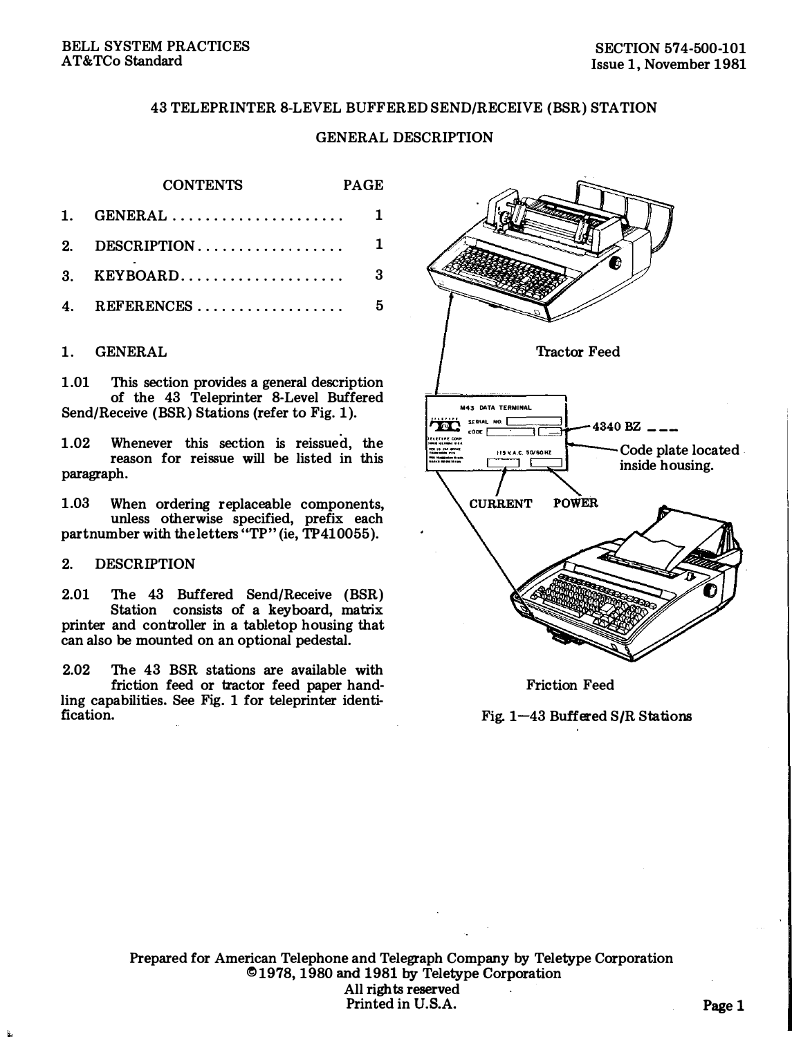# 43 TELEPRINTER 8-LEVEL BUFFERED SEND/RECEIVE (BSR) STATION

# GENERAL DESCRIPTION

PAGE

### **CONTENTS**

| 1. GENERAL $1$   |  |
|------------------|--|
|                  |  |
|                  |  |
| 4. REFERENCES  5 |  |

### 1. GENERAL

1.01 This section provides a general description of the 43 Teleprinter 8-Level Buffered Send/Receive (BSR) Stations (refer to Fig. 1 ).

1.02 Whenever this section is reissued, the reason for reissue will be listed in this paragraph.

1.03 When ordering replaceable components, unless otherwise specified, prefix each partnumber with the letters "TP" (ie, TP410055).

### 2. DESCRIPTION

2.01 The 43 Buffered Send/Receive (BSR) Station consists of a keyboard, matrix printer and controller in a tabletop housing that can also be mounted on an optional pedestal.

2.02 The 43 BSR stations are available with friction feed or tractor feed paper handling capabilities. See Fig. 1 for teleprinter identification.



Friction Feed

Fig. 1-43 Buffered S/R Stations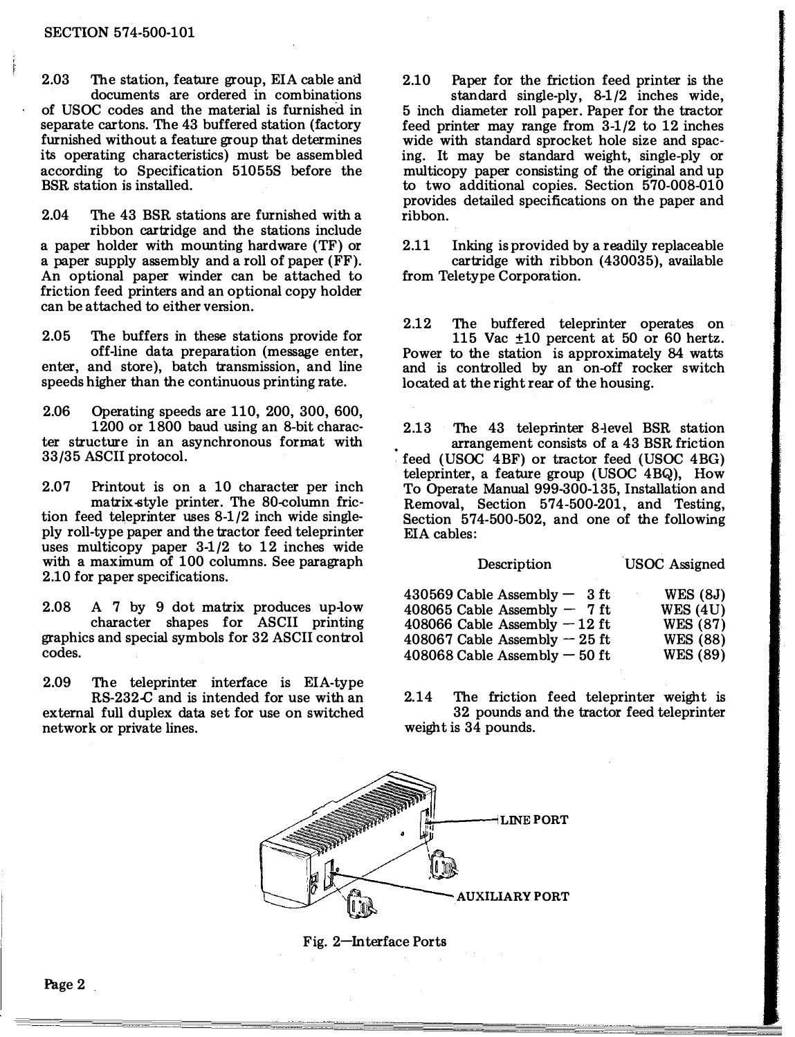#### SECTION 574-500-101

Í

2.03 The station, feature group, EIA cable and documents are ordered in combinations of USOC codes and the material is furnished in separate cartons. The 43 buffered station (factory furnished without a feature group that determines its operating characteristics) must be assembled according to Specification 51055S before the BSR station is installed.

2.04 The 43 BSR stations are furnished with a ribbon cartridge and the stations include a paper holder with mounting hardware (TF) or a paper supply assembly and a roll of paper (FF). An optional paper winder can be attached to friction feed printers and an optional copy holder can be attached to either version.

2.05 The buffers in these stations provide for off-line data preparation (message enter, enter, and store), batch transmission, and line speeds higher than the continuous printing rate.

2.06 Operating speeds are 110, 200, 300, 600, 1200 or 1800 baud using an 8-bit character structure in an asynchronous format with 33/35 ASCII protocol.

2.07 Printout is on a 10 character per inch matrix-style printer. The SO-column friction feed teleprinter uses 8-1/2 inch wide singleply roll-type paper and the tractor feed teleprinter uses multicopy paper 3-1/2 to 12 inches wide with a maximum of 100 columns. See paragraph 2.10 for paper specifications.

2.08 A 7 by 9 dot matrix produces up-low character shapes for ASCII printing graphics and special symbols for 32 ASCII control codes.

2.09 The teleprinter interface is EIA-type RS-232.C and is intended for use with an

external full duplex data set for use on switched network or private lines.

2.10 Paper for the friction feed printer is the standard single-ply, 8-1/2 inches wide, 5 inch diameter roll paper. Paper for the tractor feed printer may range from 3-1/2 to 12 inches wide with standard sprocket hole size and spacing. It may be standard weight, single-ply or multicopy paper consisting of the original and up to two additional copies. Section 570-008-010 provides detailed specifications on the paper and ribbon.

2.11 Inking is provided by a readily replaceable cartridge with ribbon (430035), available from Teletype Corporation.

2.12 The buffered teleprinter operates on 115 Vac ±10 percent at 50 or 60 hertz. Power to the station is approximately 84 watts and is controlled by an on-off rocker switch located at the right rear of the housing.

2.13 The 43 teleprinter 8-level BSR station arrangement consists of a 43 BSR friction feed (USOC 4BF) or tractor feed (USOC 4BG) teleprinter, a feature group (USOC 4BQ), How To Operate Manual 999-300-135, Installation and Removal, Section 574-500-201, and Testing, Section 574-500-502, and one of the following EIA cables:

| Description                      | <b>USOC</b> Assigned |
|----------------------------------|----------------------|
| $430569$ Cable Assembly $-$ 3 ft | <b>WES</b> (8J)      |
| 408065 Cable Assembly $-7$ ft    | WES(4U)              |
| 408066 Cable Assembly $-12$ ft   | <b>WES</b> (87)      |
| 408067 Cable Assembly $-25$ ft   | <b>WES</b> (88)      |
| $408068$ Cable Assembly $-50$ ft | <b>WES</b> (89)      |

2.14 The friction feed teleprinter weight is 32 pounds and the tractor feed teleprinter weight is 34 pounds.



Fig. 2-Interface Ports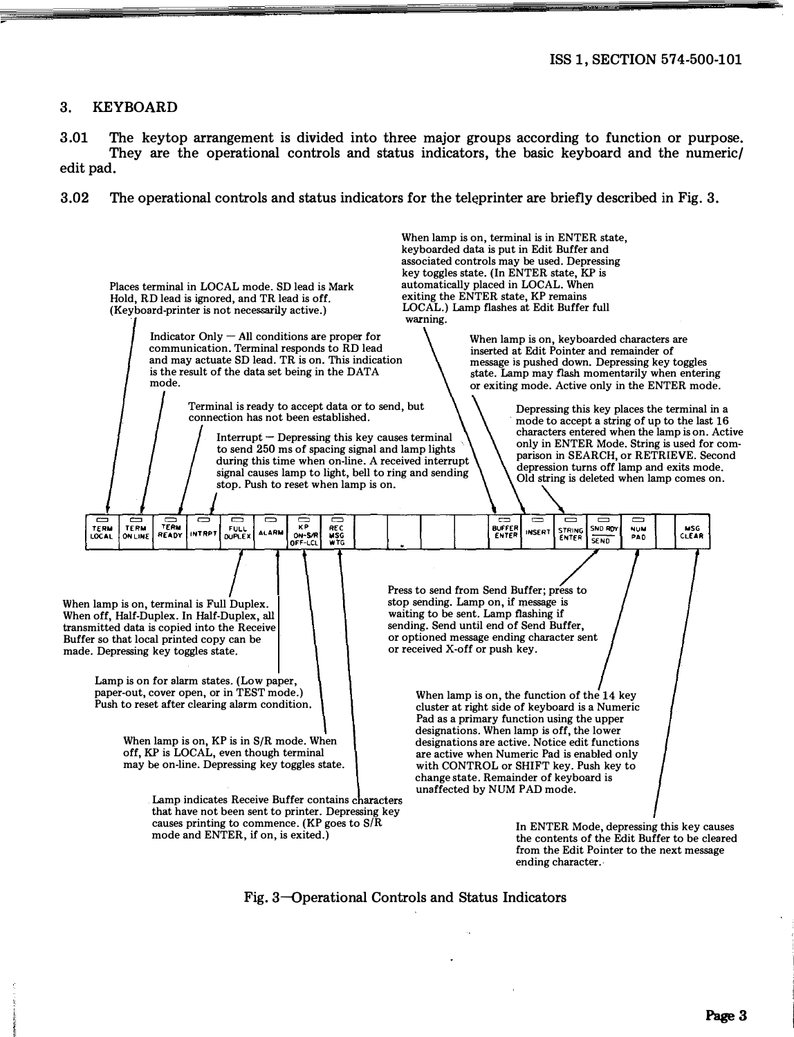# 3. KEYBOARD

3.01 The keytop arrangement is divided into three major groups according to function or purpose. They are the operational controls and status indicators, the basic keyboard and the numeric/ edit pad.

3.02 The operational controls and status indicators for the teleprinter are briefly described in Fig. 3.



Fig. 3-Dperational Controls and Status Indicators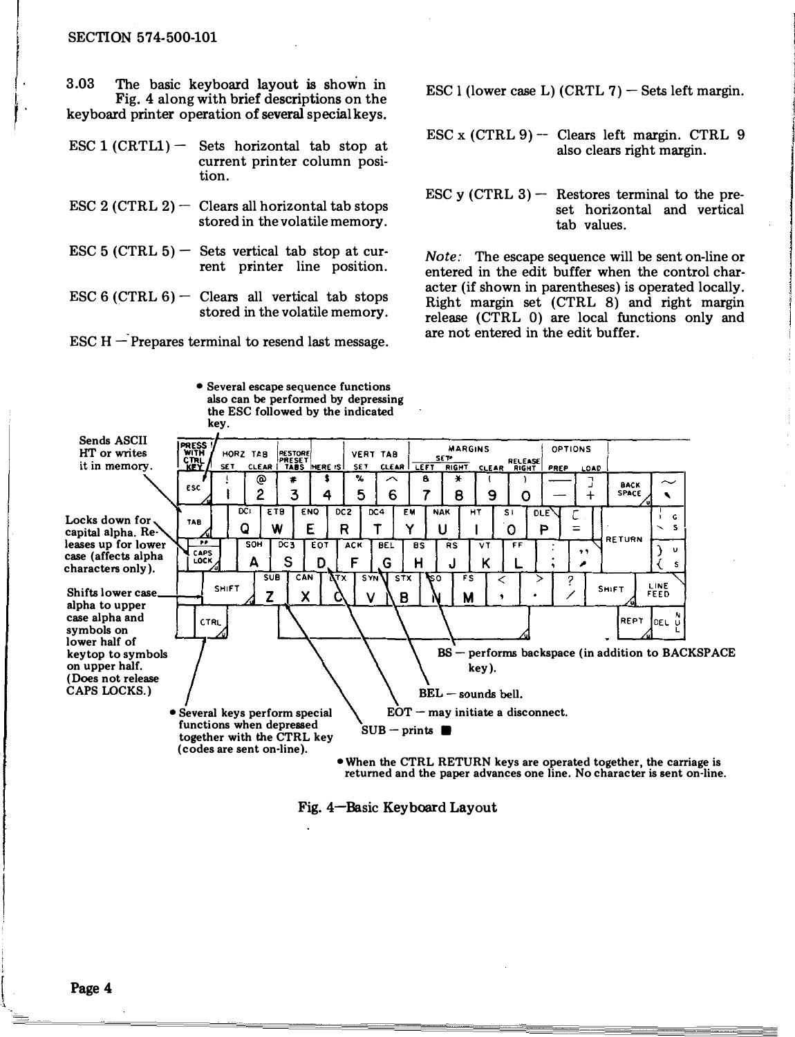### SECTION 574-500-101

3.03 The basic keyboard layout is shoWn in Fig. 4 along with brief descriptions on the keyboard printer operation of several special keys.

ESC 1  $(CRTL1)$  - Sets horizontal tab stop at current printer column position.

- ESC 2 (CTRL  $2$ ) Clears all horizontal tab stops stored in the volatile memory.
- ESC 5 (CTRL  $5$ ) Sets vertical tab stop at current printer line position.
- ESC 6 (CTRL  $6$ ) Clears all vertical tab stops stored in the volatile memory.

ESC  $H -$ Prepares terminal to resend last message.

• Several escape sequence functions

ESC 1 (lower case L)  $(CRTL 7)$  – Sets left margin.

- ESC x (CTRL 9) -- Clears left margin. CTRL 9 also clears right margin.
- ESC y (CTRL  $3$ ) Restores terminal to the preset horizontal and vertical tab values.

Note: The escape sequence will be sent on-line or entered in the edit buffer when the control character (if shown in parentheses) is operated locally. Right margin set (CTRL 8) and right margin release (CTRL 0) are local functions only and are not entered in the edit buffer.



Fig. 4-Basic Keyboard Layout

Page 4